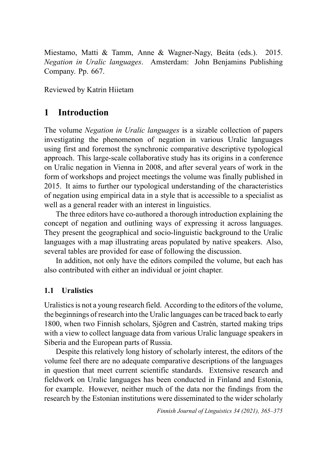Miestamo, Matti & Tamm, Anne & Wagner-Nagy, Beáta (eds.). 2015. *Negation in Uralic languages*. Amsterdam: John Benjamins Publishing Company. Pp. 667.

Reviewed by Katrin Hiietam

### **1 Introduction**

The volume *Negation in Uralic languages* is a sizable collection of papers investigating the phenomenon of negation in various Uralic languages using first and foremost the synchronic comparative descriptive typological approach. This large-scale collaborative study has its origins in a conference on Uralic negation in Vienna in 2008, and after several years of work in the form of workshops and project meetings the volume was finally published in 2015. It aims to further our typological understanding of the characteristics of negation using empirical data in a style that is accessible to a specialist as well as a general reader with an interest in linguistics.

The three editors have co-authored a thorough introduction explaining the concept of negation and outlining ways of expressing it across languages. They present the geographical and socio-linguistic background to the Uralic languages with a map illustrating areas populated by native speakers. Also, several tables are provided for ease of following the discussion.

In addition, not only have the editors compiled the volume, but each has also contributed with either an individual or joint chapter.

### **1.1 Uralistics**

Uralistics is not a young research field. According to the editors of the volume, the beginnings of research into the Uralic languages can be traced back to early 1800, when two Finnish scholars, Sjögren and Castrén, started making trips with a view to collect language data from various Uralic language speakers in Siberia and the European parts of Russia.

Despite this relatively long history of scholarly interest, the editors of the volume feel there are no adequate comparative descriptions of the languages in question that meet current scientific standards. Extensive research and fieldwork on Uralic languages has been conducted in Finland and Estonia, for example. However, neither much of the data nor the findings from the research by the Estonian institutions were disseminated to the wider scholarly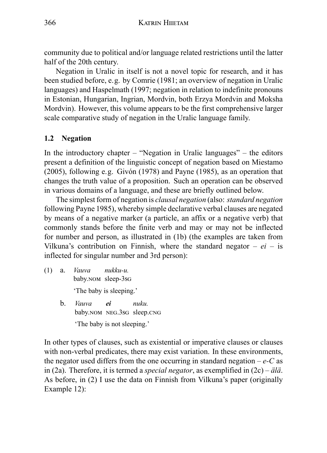community due to political and/or language related restrictions until the latter half of the 20th century.

Negation in Uralic in itself is not a novel topic for research, and it has been studied before, e.g. by Comrie (1981; an overview of negation in Uralic languages) and Haspelmath (1997; negation in relation to indefinite pronouns in Estonian, Hungarian, Ingrian, Mordvin, both Erzya Mordvin and Moksha Mordvin). However, this volume appears to be the first comprehensive larger scale comparative study of negation in the Uralic language family.

### **1.2 Negation**

In the introductory chapter  $-$  "Negation in Uralic languages"  $-$  the editors present a definition of the linguistic concept of negation based on Miestamo (2005), following e.g. Givón (1978) and Payne (1985), as an operation that changes the truth value of a proposition. Such an operation can be observed in various domains of a language, and these are briefly outlined below.

The simplest form of negation is *clausal negation* (also: *standard negation* following Payne 1985), whereby simple declarative verbal clauses are negated by means of a negative marker (a particle, an affix or a negative verb) that commonly stands before the finite verb and may or may not be inflected for number and person, as illustrated in (1b) (the examples are taken from Vilkuna's contribution on Finnish, where the standard negator  $-ei - is$ inflected for singular number and 3rd person):

- (1) a. *Vauva* baby.nom sleep-3sg *nukku-u.* 'The baby is sleeping.'
	- b. *Vauva* baby.nom NEG.3sG sleep.cnG *ei nuku.* 'The baby is not sleeping.'

In other types of clauses, such as existential or imperative clauses or clauses with non-verbal predicates, there may exist variation. In these environments, the negator used differs from the one occurring in standard negation  $-e$ -C as in (2a). Therefore, it is termed a *special negator*, as exemplified in (2c) – *älä*. As before, in (2) I use the data on Finnish from Vilkuna's paper (originally Example 12):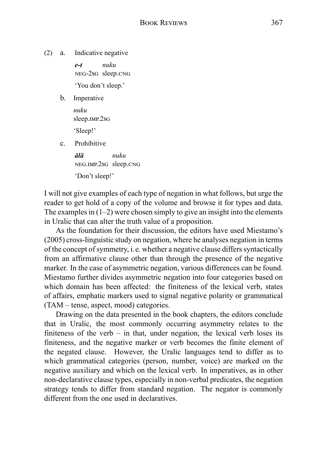(2) a. Indicative negative

*e-t* neg-2sg sleep.cng *nuku* 'You don't sleep.'

b. Imperative

*nuku* sleep.imp.2sG

'Sleep!'

c. Prohibitive

*älä* neg.imp.2sg sleep.cng *nuku* 'Don't sleep!'

I will not give examples of each type of negation in what follows, but urge the reader to get hold of a copy of the volume and browse it for types and data. The examples in  $(1-2)$  were chosen simply to give an insight into the elements in Uralic that can alter the truth value of a proposition.

As the foundation for their discussion, the editors have used Miestamo's (2005) cross-linguistic study on negation, where he analyses negation in terms of the concept of symmetry, i.e. whether a negative clause differs syntactically from an affirmative clause other than through the presence of the negative marker. In the case of asymmetric negation, various differences can be found. Miestamo further divides asymmetric negation into four categories based on which domain has been affected: the finiteness of the lexical verb, states of affairs, emphatic markers used to signal negative polarity or grammatical (TAM – tense, aspect, mood) categories.

Drawing on the data presented in the book chapters, the editors conclude that in Uralic, the most commonly occurring asymmetry relates to the finiteness of the verb – in that, under negation, the lexical verb loses its finiteness, and the negative marker or verb becomes the finite element of the negated clause. However, the Uralic languages tend to differ as to which grammatical categories (person, number, voice) are marked on the negative auxiliary and which on the lexical verb. In imperatives, as in other non-declarative clause types, especially in non-verbal predicates, the negation strategy tends to differ from standard negation. The negator is commonly different from the one used in declaratives.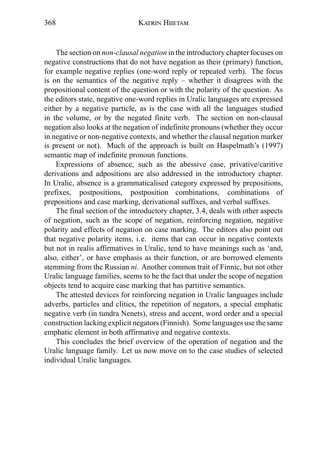#### 368 KATRIN HIIETAM

The section on *non-clausal negation* in the introductory chapter focuses on negative constructions that do not have negation as their (primary) function, for example negative replies (one-word reply or repeated verb). The focus is on the semantics of the negative reply – whether it disagrees with the propositional content of the question or with the polarity of the question. As the editors state, negative one-word replies in Uralic languages are expressed either by a negative particle, as is the case with all the languages studied in the volume, or by the negated finite verb. The section on non-clausal negation also looks at the negation of indefinite pronouns (whether they occur in negative or non-negative contexts, and whether the clausal negation marker is present or not). Much of the approach is built on Haspelmath's (1997) semantic map of indefinite pronoun functions.

Expressions of absence, such as the abessive case, privative/caritive derivations and adpositions are also addressed in the introductory chapter. In Uralic, absence is a grammaticalised category expressed by prepositions, prefixes, postpositions, postposition combinations, combinations of prepositions and case marking, derivational suffixes, and verbal suffixes.

The final section of the introductory chapter, 3.4, deals with other aspects of negation, such as the scope of negation, reinforcing negation, negative polarity and effects of negation on case marking. The editors also point out that negative polarity items, i.e. items that can occur in negative contexts but not in realis affirmatives in Uralic, tend to have meanings such as 'and, also, either', or have emphasis as their function, or are borrowed elements stemming from the Russian *ni*. Another common trait of Finnic, but not other Uralic language families, seems to be the fact that under the scope of negation objects tend to acquire case marking that has partitive semantics.

The attested devices for reinforcing negation in Uralic languages include adverbs, particles and clitics, the repetition of negators, a special emphatic negative verb (in tundra Nenets), stress and accent, word order and a special construction lacking explicit negators (Finnish). Some languages use the same emphatic element in both affirmative and negative contexts.

This concludes the brief overview of the operation of negation and the Uralic language family. Let us now move on to the case studies of selected individual Uralic languages.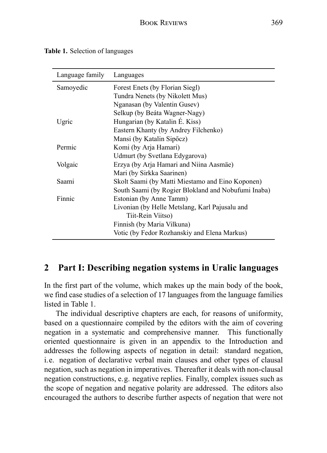|  |  | Table 1. Selection of languages |
|--|--|---------------------------------|
|--|--|---------------------------------|

| Language family | Languages                                           |  |
|-----------------|-----------------------------------------------------|--|
| Samoyedic       | Forest Enets (by Florian Siegl)                     |  |
|                 | Tundra Nenets (by Nikolett Mus)                     |  |
|                 | Nganasan (by Valentin Gusev)                        |  |
|                 | Selkup (by Beáta Wagner-Nagy)                       |  |
| Ugric           | Hungarian (by Katalin E. Kiss)                      |  |
|                 | Eastern Khanty (by Andrey Filchenko)                |  |
|                 | Mansi (by Katalin Sipőcz)                           |  |
| Permic          | Komi (by Arja Hamari)                               |  |
|                 | Udmurt (by Svetlana Edygarova)                      |  |
| Volgaic         | Erzya (by Arja Hamari and Niina Aasmäe)             |  |
|                 | Mari (by Sirkka Saarinen)                           |  |
| Saami           | Skolt Saami (by Matti Miestamo and Eino Koponen)    |  |
|                 | South Saami (by Rogier Blokland and Nobufumi Inaba) |  |
| Finnic          | Estonian (by Anne Tamm)                             |  |
|                 | Livonian (by Helle Metslang, Karl Pajusalu and      |  |
|                 | Tiit-Rein Viitso)                                   |  |
|                 | Finnish (by Maria Vilkuna)                          |  |
|                 | Votic (by Fedor Rozhanskiy and Elena Markus)        |  |

## **2 Part I: Describing negation systems in Uralic languages**

In the first part of the volume, which makes up the main body of the book, we find case studies of a selection of 17 languages from the language families listed in Table 1.

The individual descriptive chapters are each, for reasons of uniformity, based on a questionnaire compiled by the editors with the aim of covering negation in a systematic and comprehensive manner. This functionally oriented questionnaire is given in an appendix to the Introduction and addresses the following aspects of negation in detail: standard negation, i.e. negation of declarative verbal main clauses and other types of clausal negation, such as negation in imperatives. Thereafter it deals with non-clausal negation constructions, e.g. negative replies. Finally, complex issues such as the scope of negation and negative polarity are addressed. The editors also encouraged the authors to describe further aspects of negation that were not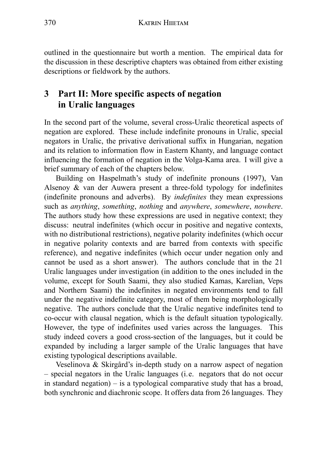outlined in the questionnaire but worth a mention. The empirical data for the discussion in these descriptive chapters was obtained from either existing descriptions or fieldwork by the authors.

## **3 Part II: More specific aspects of negation in Uralic languages**

In the second part of the volume, several cross-Uralic theoretical aspects of negation are explored. These include indefinite pronouns in Uralic, special negators in Uralic, the privative derivational suffix in Hungarian, negation and its relation to information flow in Eastern Khanty, and language contact influencing the formation of negation in the Volga-Kama area. I will give a brief summary of each of the chapters below.

Building on Haspelmath's study of indefinite pronouns (1997), Van Alsenoy & van der Auwera present a three-fold typology for indefinites (indefinite pronouns and adverbs). By *indefinites* they mean expressions such as *anything*, *something*, *nothing* and *anywhere*, *somewhere*, *nowhere*. The authors study how these expressions are used in negative context; they discuss: neutral indefinites (which occur in positive and negative contexts, with no distributional restrictions), negative polarity indefinites (which occur in negative polarity contexts and are barred from contexts with specific reference), and negative indefinites (which occur under negation only and cannot be used as a short answer). The authors conclude that in the 21 Uralic languages under investigation (in addition to the ones included in the volume, except for South Saami, they also studied Kamas, Karelian, Veps and Northern Saami) the indefinites in negated environments tend to fall under the negative indefinite category, most of them being morphologically negative. The authors conclude that the Uralic negative indefinites tend to co-occur with clausal negation, which is the default situation typologically. However, the type of indefinites used varies across the languages. This study indeed covers a good cross-section of the languages, but it could be expanded by including a larger sample of the Uralic languages that have existing typological descriptions available.

Veselinova & Skirgård's in-depth study on a narrow aspect of negation – special negators in the Uralic languages (i.e. negators that do not occur in standard negation) – is a typological comparative study that has a broad, both synchronic and diachronic scope. It offers data from 26 languages. They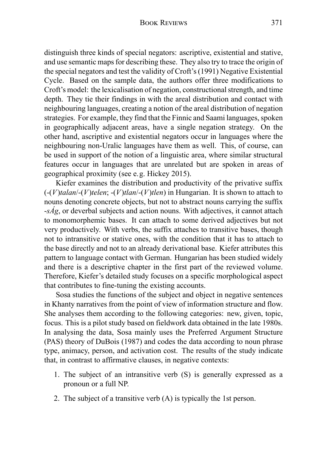distinguish three kinds of special negators: ascriptive, existential and stative, and use semantic maps for describing these. They also try to trace the origin of the special negators and test the validity of Croft's (1991) Negative Existential Cycle. Based on the sample data, the authors offer three modifications to Croft's model: the lexicalisation of negation, constructional strength, and time depth. They tie their findings in with the areal distribution and contact with neighbouring languages, creating a notion of the areal distribution of negation strategies. For example, they find that the Finnic and Saami languages, spoken in geographically adjacent areas, have a single negation strategy. On the other hand, ascriptive and existential negators occur in languages where the neighbouring non-Uralic languages have them as well. This, of course, can be used in support of the notion of a linguistic area, where similar structural features occur in languages that are unrelated but are spoken in areas of geographical proximity (see e.g. Hickey 2015).

Kiefer examines the distribution and productivity of the privative suffix (-(*V*)*talan*/-(*V*)*telen*; -(*V*)*tlan*/-(*V*)*tlen*) in Hungarian. It is shown to attach to nouns denoting concrete objects, but not to abstract nouns carrying the suffix -*sÁg*, or deverbal subjects and action nouns. With adjectives, it cannot attach to monomorphemic bases. It can attach to some derived adjectives but not very productively. With verbs, the suffix attaches to transitive bases, though not to intransitive or stative ones, with the condition that it has to attach to the base directly and not to an already derivational base. Kiefer attributes this pattern to language contact with German. Hungarian has been studied widely and there is a descriptive chapter in the first part of the reviewed volume. Therefore, Kiefer's detailed study focuses on a specific morphological aspect that contributes to fine-tuning the existing accounts.

Sosa studies the functions of the subject and object in negative sentences in Khanty narratives from the point of view of information structure and flow. She analyses them according to the following categories: new, given, topic, focus. This is a pilot study based on fieldwork data obtained in the late 1980s. In analysing the data, Sosa mainly uses the Preferred Argument Structure (PAS) theory of DuBois (1987) and codes the data according to noun phrase type, animacy, person, and activation cost. The results of the study indicate that, in contrast to affirmative clauses, in negative contexts:

- 1. The subject of an intransitive verb (S) is generally expressed as a pronoun or a full NP.
- 2. The subject of a transitive verb (A) is typically the 1st person.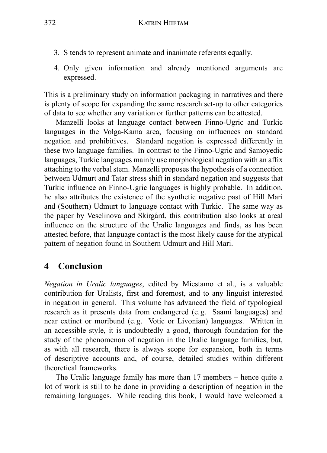- 3. S tends to represent animate and inanimate referents equally.
- 4. Only given information and already mentioned arguments are expressed.

This is a preliminary study on information packaging in narratives and there is plenty of scope for expanding the same research set-up to other categories of data to see whether any variation or further patterns can be attested.

Manzelli looks at language contact between Finno-Ugric and Turkic languages in the Volga-Kama area, focusing on influences on standard negation and prohibitives. Standard negation is expressed differently in these two language families. In contrast to the Finno-Ugric and Samoyedic languages, Turkic languages mainly use morphological negation with an affix attaching to the verbal stem. Manzelli proposes the hypothesis of a connection between Udmurt and Tatar stress shift in standard negation and suggests that Turkic influence on Finno-Ugric languages is highly probable. In addition, he also attributes the existence of the synthetic negative past of Hill Mari and (Southern) Udmurt to language contact with Turkic. The same way as the paper by Veselinova and Skirgård, this contribution also looks at areal influence on the structure of the Uralic languages and finds, as has been attested before, that language contact is the most likely cause for the atypical pattern of negation found in Southern Udmurt and Hill Mari.

## **4 Conclusion**

*Negation in Uralic languages*, edited by Miestamo et al., is a valuable contribution for Uralists, first and foremost, and to any linguist interested in negation in general. This volume has advanced the field of typological research as it presents data from endangered (e.g. Saami languages) and near extinct or moribund (e.g. Votic or Livonian) languages. Written in an accessible style, it is undoubtedly a good, thorough foundation for the study of the phenomenon of negation in the Uralic language families, but, as with all research, there is always scope for expansion, both in terms of descriptive accounts and, of course, detailed studies within different theoretical frameworks.

The Uralic language family has more than 17 members – hence quite a lot of work is still to be done in providing a description of negation in the remaining languages. While reading this book, I would have welcomed a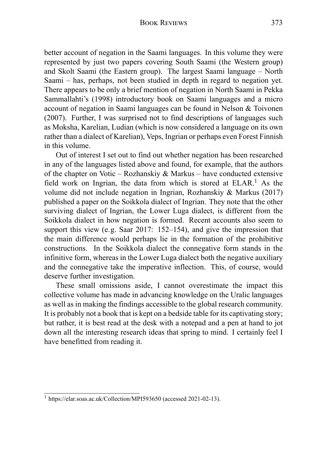better account of negation in the Saami languages. In this volume they were represented by just two papers covering South Saami (the Western group) and Skolt Saami (the Eastern group). The largest Saami language – North Saami – has, perhaps, not been studied in depth in regard to negation yet. There appears to be only a brief mention of negation in North Saami in Pekka Sammallahti's (1998) introductory book on Saami languages and a micro account of negation in Saami languages can be found in Nelson & Toivonen (2007). Further, I was surprised not to find descriptions of languages such as Moksha, Karelian, Ludian (which is now considered a language on its own rather than a dialect of Karelian), Veps, Ingrian or perhaps even Forest Finnish in this volume.

Out of interest I set out to find out whether negation has been researched in any of the languages listed above and found, for example, that the authors of the chapter on Votic – Rozhanskiy & Markus – have conducted extensive field work on Ingrian, the data from which is stored at  $ELAR<sup>1</sup>$ . As the volume did not include negation in Ingrian, Rozhanskiy & Markus (2017) published a paper on the Soikkola dialect of Ingrian. They note that the other surviving dialect of Ingrian, the Lower Luga dialect, is different from the Soikkola dialect in how negation is formed. Recent accounts also seem to support this view (e.g. Saar 2017: 152–154), and give the impression that the main difference would perhaps lie in the formation of the prohibitive constructions. In the Soikkola dialect the connegative form stands in the infinitive form, whereas in the Lower Luga dialect both the negative auxiliary and the connegative take the imperative inflection. This, of course, would deserve further investigation.

These small omissions aside, I cannot overestimate the impact this collective volume has made in advancing knowledge on the Uralic languages as well as in making the findings accessible to the global research community. It is probably not a book that is kept on a bedside table for its captivating story; but rather, it is best read at the desk with a notepad and a pen at hand to jot down all the interesting research ideas that spring to mind. I certainly feel I have benefitted from reading it.

<sup>1</sup> https://elar.soas.ac.uk/Collection/MPI593650 (accessed 2021-02-13).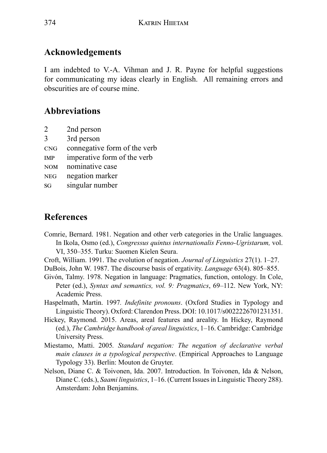# **Acknowledgements**

I am indebted to V.-A. Vihman and J. R. Payne for helpful suggestions for communicating my ideas clearly in English. All remaining errors and obscurities are of course mine.

# **Abbreviations**

- 2 2nd person
- 3 3rd person
- ർඇ connegative form of the verb
- IMP imperative form of the verb
- NOM nominative case
- NEG negation marker
- s<sub>G</sub> singular number

# **References**

- Comrie, Bernard. 1981. Negation and other verb categories in the Uralic languages. In Ikola, Osmo (ed.), *Congressus quintus internationalis Fenno-Ugristarum,* vol. VI, 350–355. Turku: Suomen Kielen Seura.
- Croft, William. 1991. The evolution of negation. *Journal of Linguistics* 27(1). 1–27.
- DuBois, John W. 1987. The discourse basis of ergativity. *Language* 63(4). 805–855.
- Givón, Talmy. 1978. Negation in language: Pragmatics, function, ontology. In Cole, Peter (ed.), *Syntax and semantics, vol. 9: Pragmatics*, 69–112. New York, NY: Academic Press.
- Haspelmath, Martin. 1997*. Indefinite pronouns*. (Oxford Studies in Typology and Linguistic Theory). Oxford: Clarendon Press. DOI: 10.1017/s0022226701231351.
- Hickey, Raymond. 2015. Areas, areal features and areality. In Hickey, Raymond (ed.), *The Cambridge handbook of areal linguistics*, 1–16. Cambridge: Cambridge University Press.
- Miestamo, Matti. 2005*. Standard negation: The negation of declarative verbal main clauses in a typological perspective*. (Empirical Approaches to Language Typology 33). Berlin: Mouton de Gruyter.
- Nelson, Diane C. & Toivonen, Ida. 2007. Introduction. In Toivonen, Ida & Nelson, Diane C. (eds.), *Saami linguistics*, 1–16. (Current Issues in Linguistic Theory 288). Amsterdam: John Benjamins.